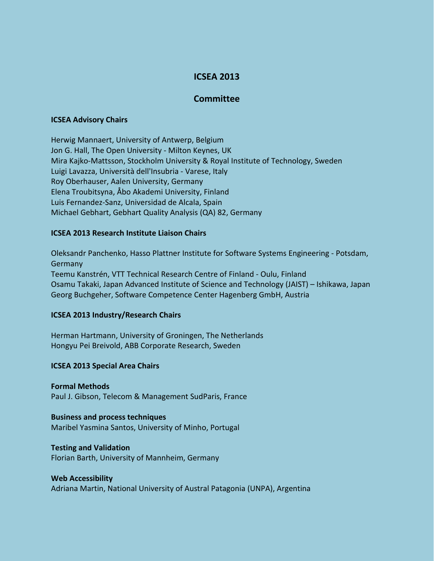# **ICSEA 2013**

# **Committee**

#### **ICSEA Advisory Chairs**

Herwig Mannaert, University of Antwerp, Belgium Jon G. Hall, The Open University - Milton Keynes, UK Mira Kajko-Mattsson, Stockholm University & Royal Institute of Technology, Sweden Luigi Lavazza, Università dell'Insubria - Varese, Italy Roy Oberhauser, Aalen University, Germany Elena Troubitsyna, Åbo Akademi University, Finland Luis Fernandez-Sanz, Universidad de Alcala, Spain Michael Gebhart, Gebhart Quality Analysis (QA) 82, Germany

# **ICSEA 2013 Research Institute Liaison Chairs**

Oleksandr Panchenko, Hasso Plattner Institute for Software Systems Engineering - Potsdam, Germany Teemu Kanstrén, VTT Technical Research Centre of Finland - Oulu, Finland Osamu Takaki, Japan Advanced Institute of Science and Technology (JAIST) – Ishikawa, Japan Georg Buchgeher, Software Competence Center Hagenberg GmbH, Austria

#### **ICSEA 2013 Industry/Research Chairs**

Herman Hartmann, University of Groningen, The Netherlands Hongyu Pei Breivold, ABB Corporate Research, Sweden

# **ICSEA 2013 Special Area Chairs**

#### **Formal Methods**

Paul J. Gibson, Telecom & Management SudParis, France

# **Business and process techniques**

Maribel Yasmina Santos, University of Minho, Portugal

#### **Testing and Validation**

Florian Barth, University of Mannheim, Germany

# **Web Accessibility**

Adriana Martin, National University of Austral Patagonia (UNPA), Argentina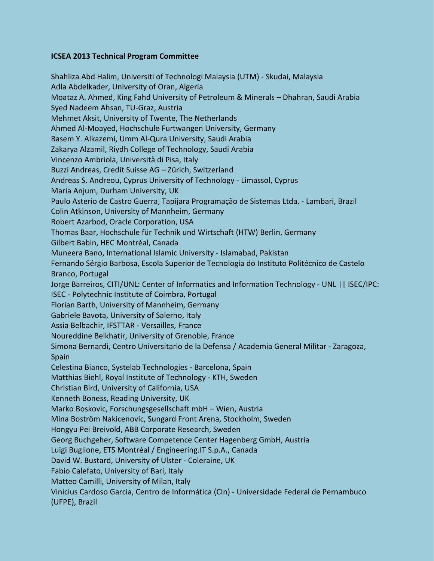# **ICSEA 2013 Technical Program Committee**

Shahliza Abd Halim, Universiti of Technologi Malaysia (UTM) - Skudai, Malaysia Adla Abdelkader, University of Oran, Algeria Moataz A. Ahmed, King Fahd University of Petroleum & Minerals – Dhahran, Saudi Arabia Syed Nadeem Ahsan, TU-Graz, Austria Mehmet Aksit, University of Twente, The Netherlands Ahmed Al-Moayed, Hochschule Furtwangen University, Germany Basem Y. Alkazemi, Umm Al-Qura University, Saudi Arabia Zakarya Alzamil, Riydh College of Technology, Saudi Arabia Vincenzo Ambriola, Università di Pisa, Italy Buzzi Andreas, Credit Suisse AG – Zürich, Switzerland Andreas S. Andreou, Cyprus University of Technology - Limassol, Cyprus Maria Anjum, Durham University, UK Paulo Asterio de Castro Guerra, Tapijara Programação de Sistemas Ltda. - Lambari, Brazil Colin Atkinson, University of Mannheim, Germany Robert Azarbod, Oracle Corporation, USA Thomas Baar, Hochschule für Technik und Wirtschaft (HTW) Berlin, Germany Gilbert Babin, HEC Montréal, Canada Muneera Bano, International Islamic University - Islamabad, Pakistan Fernando Sérgio Barbosa, Escola Superior de Tecnologia do Instituto Politécnico de Castelo Branco, Portugal Jorge Barreiros, CITI/UNL: Center of Informatics and Information Technology - UNL || ISEC/IPC: ISEC - Polytechnic Institute of Coimbra, Portugal Florian Barth, University of Mannheim, Germany Gabriele Bavota, University of Salerno, Italy Assia Belbachir, IFSTTAR - Versailles, France Noureddine Belkhatir, University of Grenoble, France Simona Bernardi, Centro Universitario de la Defensa / Academia General Militar - Zaragoza, Spain Celestina Bianco, Systelab Technologies - Barcelona, Spain Matthias Biehl, Royal Institute of Technology - KTH, Sweden Christian Bird, University of California, USA Kenneth Boness, Reading University, UK Marko Boskovic, Forschungsgesellschaft mbH – Wien, Austria Mina Boström Nakicenovic, Sungard Front Arena, Stockholm, Sweden Hongyu Pei Breivold, ABB Corporate Research, Sweden Georg Buchgeher, Software Competence Center Hagenberg GmbH, Austria Luigi Buglione, ETS Montréal / Engineering.IT S.p.A., Canada David W. Bustard, University of Ulster - Coleraine, UK Fabio Calefato, University of Bari, Italy Matteo Camilli, University of Milan, Italy Vinicius Cardoso Garcia, Centro de Informática (CIn) - Universidade Federal de Pernambuco (UFPE), Brazil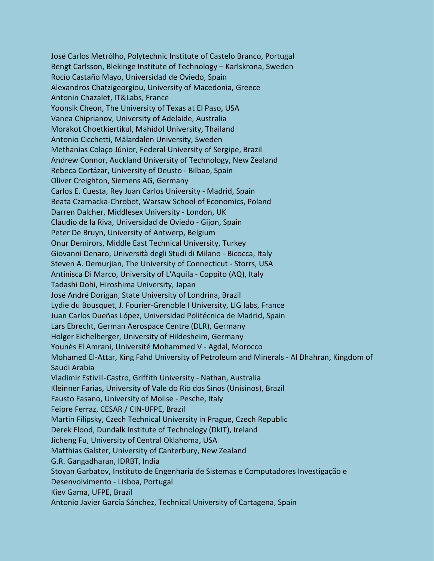José Carlos Metrôlho, Polytechnic Institute of Castelo Branco, Portugal Bengt Carlsson, Blekinge Institute of Technology – Karlskrona, Sweden Rocío Castaño Mayo, Universidad de Oviedo, Spain Alexandros Chatzigeorgiou, University of Macedonia, Greece Antonin Chazalet, IT&Labs, France Yoonsik Cheon, The University of Texas at El Paso, USA Vanea Chiprianov, University of Adelaide, Australia Morakot Choetkiertikul, Mahidol University, Thailand Antonio Cicchetti, Mälardalen University, Sweden Methanias Colaço Júnior, Federal University of Sergipe, Brazil Andrew Connor, Auckland University of Technology, New Zealand Rebeca Cortázar, University of Deusto - Bilbao, Spain Oliver Creighton, Siemens AG, Germany Carlos E. Cuesta, Rey Juan Carlos University - Madrid, Spain Beata Czarnacka-Chrobot, Warsaw School of Economics, Poland Darren Dalcher, Middlesex University - London, UK Claudio de la Riva, Universidad de Oviedo - Gijon, Spain Peter De Bruyn, University of Antwerp, Belgium Onur Demirors, Middle East Technical University, Turkey Giovanni Denaro, Università degli Studi di Milano - Bicocca, Italy Steven A. Demurjian, The University of Connecticut - Storrs, USA Antinisca Di Marco, University of L'Aquila - Coppito (AQ), Italy Tadashi Dohi, Hiroshima University, Japan José André Dorigan, State University of Londrina, Brazil Lydie du Bousquet, J. Fourier-Grenoble I University, LIG labs, France Juan Carlos Dueñas López, Universidad Politécnica de Madrid, Spain Lars Ebrecht, German Aerospace Centre (DLR), Germany Holger Eichelberger, University of Hildesheim, Germany Younès El Amrani, Université Mohammed V - Agdal, Morocco Mohamed El-Attar, King Fahd University of Petroleum and Minerals - Al Dhahran, Kingdom of Saudi Arabia Vladimir Estivill-Castro, Griffith University - Nathan, Australia Kleinner Farias, University of Vale do Rio dos Sinos (Unisinos), Brazil Fausto Fasano, University of Molise - Pesche, Italy Feipre Ferraz, CESAR / CIN-UFPE, Brazil Martin Filipsky, Czech Technical University in Prague, Czech Republic Derek Flood, Dundalk Institute of Technology (DkIT), Ireland Jicheng Fu, University of Central Oklahoma, USA Matthias Galster, University of Canterbury, New Zealand G.R. Gangadharan, IDRBT, India Stoyan Garbatov, Instituto de Engenharia de Sistemas e Computadores Investigação e Desenvolvimento - Lisboa, Portugal Kiev Gama, UFPE, Brazil Antonio Javier García Sánchez, Technical University of Cartagena, Spain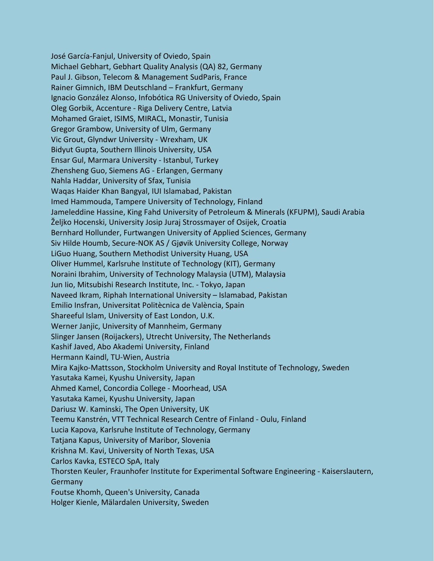José García-Fanjul, University of Oviedo, Spain Michael Gebhart, Gebhart Quality Analysis (QA) 82, Germany Paul J. Gibson, Telecom & Management SudParis, France Rainer Gimnich, IBM Deutschland – Frankfurt, Germany Ignacio González Alonso, Infobótica RG University of Oviedo, Spain Oleg Gorbik, Accenture - Riga Delivery Centre, Latvia Mohamed Graiet, ISIMS, MIRACL, Monastir, Tunisia Gregor Grambow, University of Ulm, Germany Vic Grout, Glyndwr University - Wrexham, UK Bidyut Gupta, Southern Illinois University, USA Ensar Gul, Marmara University - Istanbul, Turkey Zhensheng Guo, Siemens AG - Erlangen, Germany Nahla Haddar, University of Sfax, Tunisia Waqas Haider Khan Bangyal, IUI Islamabad, Pakistan Imed Hammouda, Tampere University of Technology, Finland Jameleddine Hassine, King Fahd University of Petroleum & Minerals (KFUPM), Saudi Arabia Željko Hocenski, University Josip Juraj Strossmayer of Osijek, Croatia Bernhard Hollunder, Furtwangen University of Applied Sciences, Germany Siv Hilde Houmb, Secure-NOK AS / Gjøvik University College, Norway LiGuo Huang, Southern Methodist University Huang, USA Oliver Hummel, Karlsruhe Institute of Technology (KIT), Germany Noraini Ibrahim, University of Technology Malaysia (UTM), Malaysia Jun Iio, Mitsubishi Research Institute, Inc. - Tokyo, Japan Naveed Ikram, Riphah International University – Islamabad, Pakistan Emilio Insfran, Universitat Politècnica de València, Spain Shareeful Islam, University of East London, U.K. Werner Janjic, University of Mannheim, Germany Slinger Jansen (Roijackers), Utrecht University, The Netherlands Kashif Javed, Abo Akademi University, Finland Hermann Kaindl, TU-Wien, Austria Mira Kajko-Mattsson, Stockholm University and Royal Institute of Technology, Sweden Yasutaka Kamei, Kyushu University, Japan Ahmed Kamel, Concordia College - Moorhead, USA Yasutaka Kamei, Kyushu University, Japan Dariusz W. Kaminski, The Open University, UK Teemu Kanstrén, VTT Technical Research Centre of Finland - Oulu, Finland Lucia Kapova, Karlsruhe Institute of Technology, Germany Tatjana Kapus, University of Maribor, Slovenia Krishna M. Kavi, University of North Texas, USA Carlos Kavka, ESTECO SpA, Italy Thorsten Keuler, Fraunhofer Institute for Experimental Software Engineering - Kaiserslautern, **Germany** Foutse Khomh, Queen's University, Canada Holger Kienle, Mälardalen University, Sweden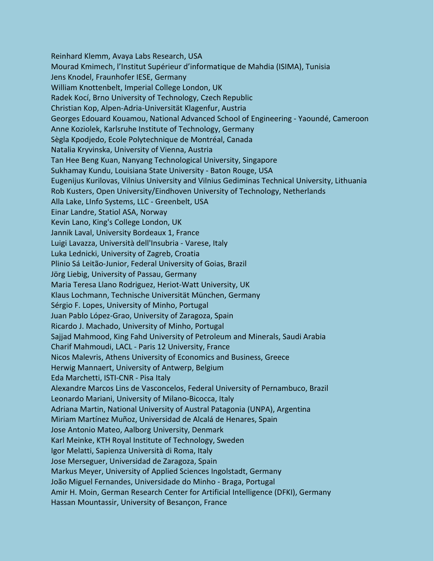Reinhard Klemm, Avaya Labs Research, USA Mourad Kmimech, l'Institut Supérieur d'informatique de Mahdia (ISIMA), Tunisia Jens Knodel, Fraunhofer IESE, Germany William Knottenbelt, Imperial College London, UK Radek Kocí, Brno University of Technology, Czech Republic Christian Kop, Alpen-Adria-Universität Klagenfur, Austria Georges Edouard Kouamou, National Advanced School of Engineering - Yaoundé, Cameroon Anne Koziolek, Karlsruhe Institute of Technology, Germany Sègla Kpodjedo, Ecole Polytechnique de Montréal, Canada Natalia Kryvinska, University of Vienna, Austria Tan Hee Beng Kuan, Nanyang Technological University, Singapore Sukhamay Kundu, Louisiana State University - Baton Rouge, USA Eugenijus Kurilovas, Vilnius University and Vilnius Gediminas Technical University, Lithuania Rob Kusters, Open University/Eindhoven University of Technology, Netherlands Alla Lake, LInfo Systems, LLC - Greenbelt, USA Einar Landre, Statiol ASA, Norway Kevin Lano, King's College London, UK Jannik Laval, University Bordeaux 1, France Luigi Lavazza, Università dell'Insubria - Varese, Italy Luka Lednicki, University of Zagreb, Croatia Plinio Sá Leitão-Junior, Federal University of Goias, Brazil Jörg Liebig, University of Passau, Germany Maria Teresa Llano Rodriguez, Heriot-Watt University, UK Klaus Lochmann, Technische Universität München, Germany Sérgio F. Lopes, University of Minho, Portugal Juan Pablo López-Grao, University of Zaragoza, Spain Ricardo J. Machado, University of Minho, Portugal Sajjad Mahmood, King Fahd University of Petroleum and Minerals, Saudi Arabia Charif Mahmoudi, LACL - Paris 12 University, France Nicos Malevris, Athens University of Economics and Business, Greece Herwig Mannaert, University of Antwerp, Belgium Eda Marchetti, ISTI-CNR - Pisa Italy Alexandre Marcos Lins de Vasconcelos, Federal University of Pernambuco, Brazil Leonardo Mariani, University of Milano-Bicocca, Italy Adriana Martin, National University of Austral Patagonia (UNPA), Argentina Miriam Martínez Muñoz, Universidad de Alcalá de Henares, Spain Jose Antonio Mateo, Aalborg University, Denmark Karl Meinke, KTH Royal Institute of Technology, Sweden Igor Melatti, Sapienza Università di Roma, Italy Jose Merseguer, Universidad de Zaragoza, Spain Markus Meyer, University of Applied Sciences Ingolstadt, Germany João Miguel Fernandes, Universidade do Minho - Braga, Portugal Amir H. Moin, German Research Center for Artificial Intelligence (DFKI), Germany Hassan Mountassir, University of Besançon, France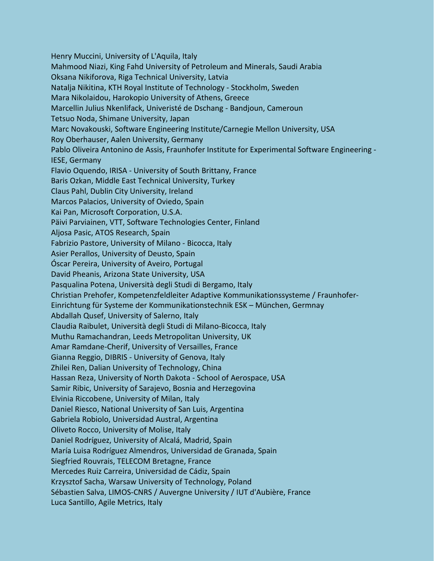Henry Muccini, University of L'Aquila, Italy Mahmood Niazi, King Fahd University of Petroleum and Minerals, Saudi Arabia Oksana Nikiforova, Riga Technical University, Latvia Natalja Nikitina, KTH Royal Institute of Technology - Stockholm, Sweden Mara Nikolaidou, Harokopio University of Athens, Greece Marcellin Julius Nkenlifack, Univeristé de Dschang - Bandjoun, Cameroun Tetsuo Noda, Shimane University, Japan Marc Novakouski, Software Engineering Institute/Carnegie Mellon University, USA Roy Oberhauser, Aalen University, Germany Pablo Oliveira Antonino de Assis, Fraunhofer Institute for Experimental Software Engineering - IESE, Germany Flavio Oquendo, IRISA - University of South Brittany, France Baris Ozkan, Middle East Technical University, Turkey Claus Pahl, Dublin City University, Ireland Marcos Palacios, University of Oviedo, Spain Kai Pan, Microsoft Corporation, U.S.A. Päivi Parviainen, VTT, Software Technologies Center, Finland Aljosa Pasic, ATOS Research, Spain Fabrizio Pastore, University of Milano - Bicocca, Italy Asier Perallos, University of Deusto, Spain Óscar Pereira, University of Aveiro, Portugal David Pheanis, Arizona State University, USA Pasqualina Potena, Università degli Studi di Bergamo, Italy Christian Prehofer, Kompetenzfeldleiter Adaptive Kommunikationssysteme / Fraunhofer-Einrichtung für Systeme der Kommunikationstechnik ESK – München, Germnay Abdallah Qusef, University of Salerno, Italy Claudia Raibulet, Università degli Studi di Milano-Bicocca, Italy Muthu Ramachandran, Leeds Metropolitan University, UK Amar Ramdane-Cherif, University of Versailles, France Gianna Reggio, DIBRIS - University of Genova, Italy Zhilei Ren, Dalian University of Technology, China Hassan Reza, University of North Dakota - School of Aerospace, USA Samir Ribic, University of Sarajevo, Bosnia and Herzegovina Elvinia Riccobene, University of Milan, Italy Daniel Riesco, National University of San Luis, Argentina Gabriela Robiolo, Universidad Austral, Argentina Oliveto Rocco, University of Molise, Italy Daniel Rodríguez, University of Alcalá, Madrid, Spain María Luisa Rodríguez Almendros, Universidad de Granada, Spain Siegfried Rouvrais, TELECOM Bretagne, France Mercedes Ruiz Carreira, Universidad de Cádiz, Spain Krzysztof Sacha, Warsaw University of Technology, Poland Sébastien Salva, LIMOS-CNRS / Auvergne University / IUT d'Aubière, France Luca Santillo, Agile Metrics, Italy